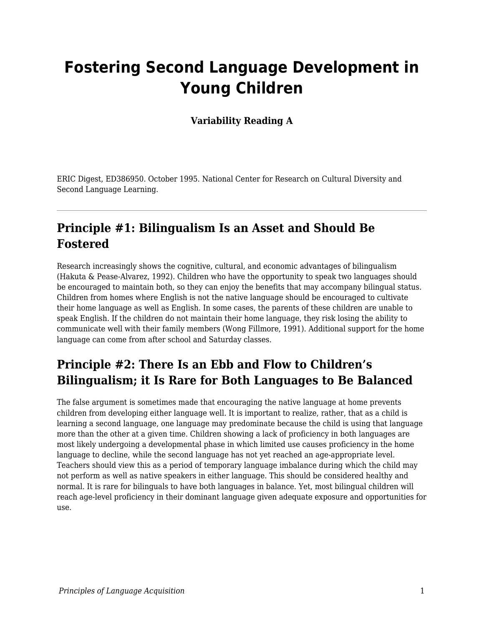# **Fostering Second Language Development in Young Children**

**Variability Reading A**

ERIC Digest, ED386950. October 1995. National Center for Research on Cultural Diversity and Second Language Learning.

#### **Principle #1: Bilingualism Is an Asset and Should Be Fostered**

Research increasingly shows the cognitive, cultural, and economic advantages of bilingualism (Hakuta & Pease-Alvarez, 1992). Children who have the opportunity to speak two languages should be encouraged to maintain both, so they can enjoy the benefits that may accompany bilingual status. Children from homes where English is not the native language should be encouraged to cultivate their home language as well as English. In some cases, the parents of these children are unable to speak English. If the children do not maintain their home language, they risk losing the ability to communicate well with their family members (Wong Fillmore, 1991). Additional support for the home language can come from after school and Saturday classes.

#### **Principle #2: There Is an Ebb and Flow to Children's Bilingualism; it Is Rare for Both Languages to Be Balanced**

The false argument is sometimes made that encouraging the native language at home prevents children from developing either language well. It is important to realize, rather, that as a child is learning a second language, one language may predominate because the child is using that language more than the other at a given time. Children showing a lack of proficiency in both languages are most likely undergoing a developmental phase in which limited use causes proficiency in the home language to decline, while the second language has not yet reached an age-appropriate level. Teachers should view this as a period of temporary language imbalance during which the child may not perform as well as native speakers in either language. This should be considered healthy and normal. It is rare for bilinguals to have both languages in balance. Yet, most bilingual children will reach age-level proficiency in their dominant language given adequate exposure and opportunities for use.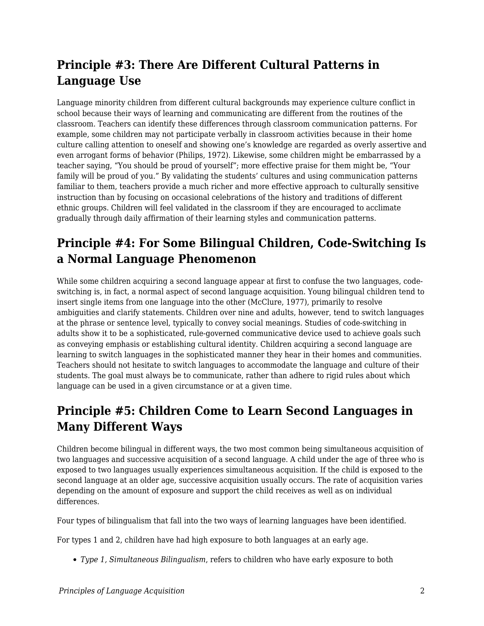## **Principle #3: There Are Different Cultural Patterns in Language Use**

Language minority children from different cultural backgrounds may experience culture conflict in school because their ways of learning and communicating are different from the routines of the classroom. Teachers can identify these differences through classroom communication patterns. For example, some children may not participate verbally in classroom activities because in their home culture calling attention to oneself and showing one's knowledge are regarded as overly assertive and even arrogant forms of behavior (Philips, 1972). Likewise, some children might be embarrassed by a teacher saying, "You should be proud of yourself"; more effective praise for them might be, "Your family will be proud of you." By validating the students' cultures and using communication patterns familiar to them, teachers provide a much richer and more effective approach to culturally sensitive instruction than by focusing on occasional celebrations of the history and traditions of different ethnic groups. Children will feel validated in the classroom if they are encouraged to acclimate gradually through daily affirmation of their learning styles and communication patterns.

## **Principle #4: For Some Bilingual Children, Code-Switching Is a Normal Language Phenomenon**

While some children acquiring a second language appear at first to confuse the two languages, codeswitching is, in fact, a normal aspect of second language acquisition. Young bilingual children tend to insert single items from one language into the other (McClure, 1977), primarily to resolve ambiguities and clarify statements. Children over nine and adults, however, tend to switch languages at the phrase or sentence level, typically to convey social meanings. Studies of code-switching in adults show it to be a sophisticated, rule-governed communicative device used to achieve goals such as conveying emphasis or establishing cultural identity. Children acquiring a second language are learning to switch languages in the sophisticated manner they hear in their homes and communities. Teachers should not hesitate to switch languages to accommodate the language and culture of their students. The goal must always be to communicate, rather than adhere to rigid rules about which language can be used in a given circumstance or at a given time.

## **Principle #5: Children Come to Learn Second Languages in Many Different Ways**

Children become bilingual in different ways, the two most common being simultaneous acquisition of two languages and successive acquisition of a second language. A child under the age of three who is exposed to two languages usually experiences simultaneous acquisition. If the child is exposed to the second language at an older age, successive acquisition usually occurs. The rate of acquisition varies depending on the amount of exposure and support the child receives as well as on individual differences.

Four types of bilingualism that fall into the two ways of learning languages have been identified.

For types 1 and 2, children have had high exposure to both languages at an early age.

*Type 1, Simultaneous Bilingualism*, refers to children who have early exposure to both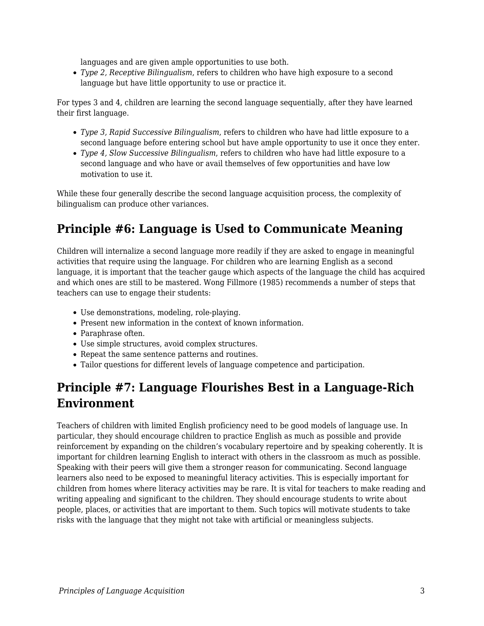languages and are given ample opportunities to use both.

*Type 2, Receptive Bilingualism*, refers to children who have high exposure to a second language but have little opportunity to use or practice it.

For types 3 and 4, children are learning the second language sequentially, after they have learned their first language.

- *Type 3, Rapid Successive Bilingualism*, refers to children who have had little exposure to a second language before entering school but have ample opportunity to use it once they enter.
- *Type 4, Slow Successive Bilingualism*, refers to children who have had little exposure to a second language and who have or avail themselves of few opportunities and have low motivation to use it.

While these four generally describe the second language acquisition process, the complexity of bilingualism can produce other variances.

#### **Principle #6: Language is Used to Communicate Meaning**

Children will internalize a second language more readily if they are asked to engage in meaningful activities that require using the language. For children who are learning English as a second language, it is important that the teacher gauge which aspects of the language the child has acquired and which ones are still to be mastered. Wong Fillmore (1985) recommends a number of steps that teachers can use to engage their students:

- Use demonstrations, modeling, role-playing.
- Present new information in the context of known information.
- Paraphrase often.
- Use simple structures, avoid complex structures.
- Repeat the same sentence patterns and routines.
- Tailor questions for different levels of language competence and participation.

#### **Principle #7: Language Flourishes Best in a Language-Rich Environment**

Teachers of children with limited English proficiency need to be good models of language use. In particular, they should encourage children to practice English as much as possible and provide reinforcement by expanding on the children's vocabulary repertoire and by speaking coherently. It is important for children learning English to interact with others in the classroom as much as possible. Speaking with their peers will give them a stronger reason for communicating. Second language learners also need to be exposed to meaningful literacy activities. This is especially important for children from homes where literacy activities may be rare. It is vital for teachers to make reading and writing appealing and significant to the children. They should encourage students to write about people, places, or activities that are important to them. Such topics will motivate students to take risks with the language that they might not take with artificial or meaningless subjects.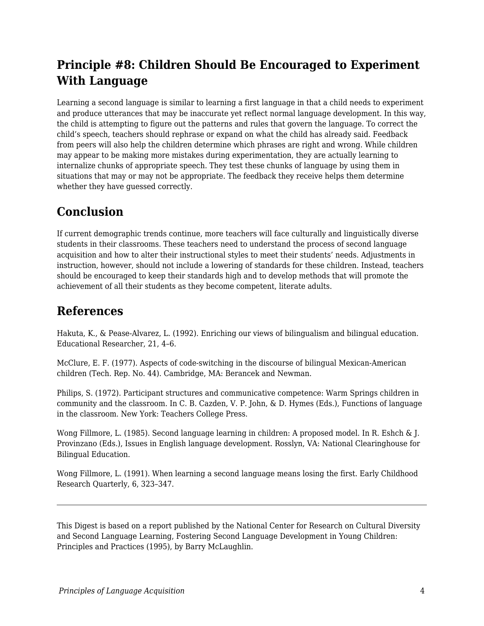## **Principle #8: Children Should Be Encouraged to Experiment With Language**

Learning a second language is similar to learning a first language in that a child needs to experiment and produce utterances that may be inaccurate yet reflect normal language development. In this way, the child is attempting to figure out the patterns and rules that govern the language. To correct the child's speech, teachers should rephrase or expand on what the child has already said. Feedback from peers will also help the children determine which phrases are right and wrong. While children may appear to be making more mistakes during experimentation, they are actually learning to internalize chunks of appropriate speech. They test these chunks of language by using them in situations that may or may not be appropriate. The feedback they receive helps them determine whether they have guessed correctly.

#### **Conclusion**

If current demographic trends continue, more teachers will face culturally and linguistically diverse students in their classrooms. These teachers need to understand the process of second language acquisition and how to alter their instructional styles to meet their students' needs. Adjustments in instruction, however, should not include a lowering of standards for these children. Instead, teachers should be encouraged to keep their standards high and to develop methods that will promote the achievement of all their students as they become competent, literate adults.

#### **References**

Hakuta, K., & Pease-Alvarez, L. (1992). Enriching our views of bilingualism and bilingual education. Educational Researcher, 21, 4–6.

McClure, E. F. (1977). Aspects of code-switching in the discourse of bilingual Mexican-American children (Tech. Rep. No. 44). Cambridge, MA: Berancek and Newman.

Philips, S. (1972). Participant structures and communicative competence: Warm Springs children in community and the classroom. In C. B. Cazden, V. P. John, & D. Hymes (Eds.), Functions of language in the classroom. New York: Teachers College Press.

Wong Fillmore, L. (1985). Second language learning in children: A proposed model. In R. Eshch & J. Provinzano (Eds.), Issues in English language development. Rosslyn, VA: National Clearinghouse for Bilingual Education.

Wong Fillmore, L. (1991). When learning a second language means losing the first. Early Childhood Research Quarterly, 6, 323–347.

This Digest is based on a report published by the National Center for Research on Cultural Diversity and Second Language Learning, Fostering Second Language Development in Young Children: Principles and Practices (1995), by Barry McLaughlin.